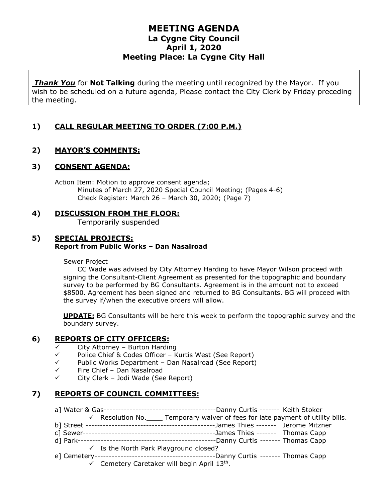## **MEETING AGENDA La Cygne City Council April 1, 2020 Meeting Place: La Cygne City Hall**

*Thank You* for **Not Talking** during the meeting until recognized by the Mayor. If you wish to be scheduled on a future agenda, Please contact the City Clerk by Friday preceding the meeting.

## **1) CALL REGULAR MEETING TO ORDER (7:00 P.M.)**

## **2) MAYOR'S COMMENTS:**

#### **3) CONSENT AGENDA:**

Action Item: Motion to approve consent agenda; Minutes of March 27, 2020 Special Council Meeting; (Pages 4-6) Check Register: March 26 – March 30, 2020; (Page 7)

#### **4) DISCUSSION FROM THE FLOOR:** Temporarily suspended

#### **5) SPECIAL PROJECTS: Report from Public Works – Dan Nasalroad**

#### Sewer Project

CC Wade was advised by City Attorney Harding to have Mayor Wilson proceed with signing the Consultant-Client Agreement as presented for the topographic and boundary survey to be performed by BG Consultants. Agreement is in the amount not to exceed \$8500. Agreement has been signed and returned to BG Consultants. BG will proceed with the survey if/when the executive orders will allow.

**UPDATE:** BG Consultants will be here this week to perform the topographic survey and the boundary survey.

## **6) REPORTS OF CITY OFFICERS:**

- $\checkmark$  City Attorney Burton Harding
- $\checkmark$  Police Chief & Codes Officer Kurtis West (See Report)
- $\checkmark$  Public Works Department Dan Nasalroad (See Report)
- $\checkmark$  Fire Chief Dan Nasalroad<br> $\checkmark$  City Clerk Jodi Wade (See
- City Clerk Jodi Wade (See Report)

## **7) REPORTS OF COUNCIL COMMITTEES:**

| $\checkmark$ Resolution No. $\Box$ Temporary waiver of fees for late payment of utility bills. |
|------------------------------------------------------------------------------------------------|
| -James Thies ------- Jerome Mitzner                                                            |
|                                                                                                |
|                                                                                                |
| $\checkmark$ Is the North Park Playground closed?                                              |
|                                                                                                |
| $\checkmark$ Cemetery Caretaker will begin April 13 <sup>th</sup> .                            |

Cemetery Caretaker will begin A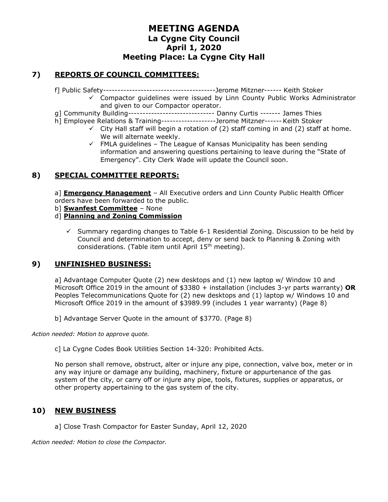# **MEETING AGENDA La Cygne City Council April 1, 2020 Meeting Place: La Cygne City Hall**

## **7) REPORTS OF COUNCIL COMMITTEES:**

f] Public Safety---------------------------------------Jerome Mitzner------ Keith Stoker

- $\checkmark$  Compactor guidelines were issued by Linn County Public Works Administrator and given to our Compactor operator.
- g] Community Building------------------------------ Danny Curtis ------- James Thies
- h] Employee Relations & Training-------------------Jerome Mitzner------Keith Stoker
	- $\checkmark$  City Hall staff will begin a rotation of (2) staff coming in and (2) staff at home. We will alternate weekly.
	- $\checkmark$  FMLA guidelines The League of Kansas Municipality has been sending information and answering questions pertaining to leave during the "State of Emergency". City Clerk Wade will update the Council soon.

## **8) SPECIAL COMMITTEE REPORTS:**

a] **Emergency Management** – All Executive orders and Linn County Public Health Officer orders have been forwarded to the public.

- b] **Swanfest Committee** None
- d] **Planning and Zoning Commission**
	- $\checkmark$  Summary regarding changes to Table 6-1 Residential Zoning. Discussion to be held by Council and determination to accept, deny or send back to Planning & Zoning with considerations. (Table item until April 15<sup>th</sup> meeting).

## **9) UNFINISHED BUSINESS:**

a] Advantage Computer Quote (2) new desktops and (1) new laptop w/ Window 10 and Microsoft Office 2019 in the amount of \$3380 + installation (includes 3-yr parts warranty) **OR** Peoples Telecommunications Quote for (2) new desktops and (1) laptop w/ Windows 10 and Microsoft Office 2019 in the amount of \$3989.99 (includes 1 year warranty) (Page 8)

b] Advantage Server Quote in the amount of \$3770. (Page 8)

*Action needed: Motion to approve quote.*

c] La Cygne Codes Book Utilities Section 14-320: Prohibited Acts.

No person shall remove, obstruct, alter or injure any pipe, connection, valve box, meter or in any way injure or damage any building, machinery, fixture or appurtenance of the gas system of the city, or carry off or injure any pipe, tools, fixtures, supplies or apparatus, or other property appertaining to the gas system of the city.

## **10) NEW BUSINESS**

a] Close Trash Compactor for Easter Sunday, April 12, 2020

*Action needed: Motion to close the Compactor.*